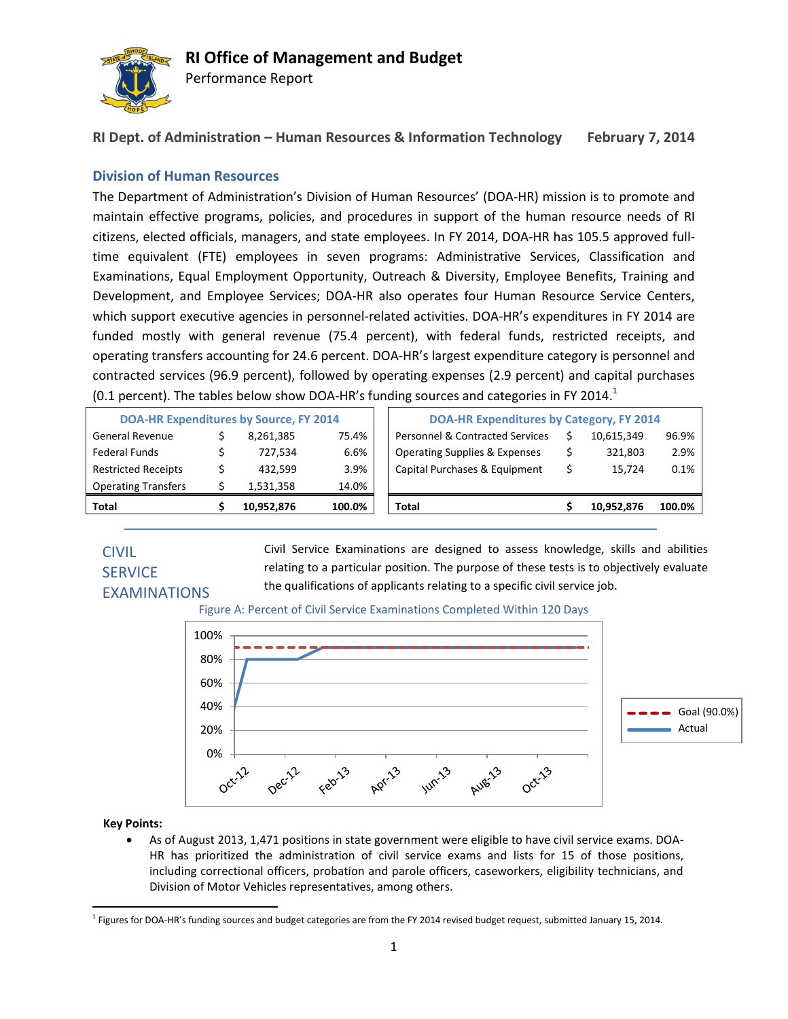

Performance Report

**RI Dept. of Administration – Human Resources & Information Technology February 7, 2014**

### **Division of Human Resources**

The Department of Administration's Division of Human Resources' (DOA-HR) mission is to promote and maintain effective programs, policies, and procedures in support of the human resource needs of RI citizens, elected officials, managers, and state employees. In FY 2014, DOA-HR has 105.5 approved fulltime equivalent (FTE) employees in seven programs: Administrative Services, Classification and Examinations, Equal Employment Opportunity, Outreach & Diversity, Employee Benefits, Training and Development, and Employee Services; DOA-HR also operates four Human Resource Service Centers, which support executive agencies in personnel-related activities. DOA-HR's expenditures in FY 2014 are funded mostly with general revenue (75.4 percent), with federal funds, restricted receipts, and operating transfers accounting for 24.6 percent. DOA-HR's largest expenditure category is personnel and contracted services (96.9 percent), followed by operating expenses (2.9 percent) and capital purchases (0.1 percent). The tables below show DOA-HR's funding sources and categories in FY 2014.<sup>1</sup>

| <b>Total</b>                                  | 10,952,876 | 100.0% | <b>Total</b>                                    | 10.952.876 | 100.0% |
|-----------------------------------------------|------------|--------|-------------------------------------------------|------------|--------|
| <b>Operating Transfers</b>                    | 1,531,358  | 14.0%  |                                                 |            |        |
| <b>Restricted Receipts</b>                    | 432.599    | 3.9%   | Capital Purchases & Equipment                   | 15.724     | 0.1%   |
| Federal Funds                                 | 727.534    | 6.6%   | <b>Operating Supplies &amp; Expenses</b>        | 321.803    | 2.9%   |
| <b>General Revenue</b>                        | 8.261.385  | 75.4%  | <b>Personnel &amp; Contracted Services</b>      | 10.615.349 | 96.9%  |
| <b>DOA-HR Expenditures by Source, FY 2014</b> |            |        | <b>DOA-HR Expenditures by Category, FY 2014</b> |            |        |

# CIVIL **SERVICE** EXAMINATIONS

Civil Service Examinations are designed to assess knowledge, skills and abilities relating to a particular position. The purpose of these tests is to objectively evaluate the qualifications of applicants relating to a specific civil service job.





**Key Points:**

 As of August 2013, 1,471 positions in state government were eligible to have civil service exams. DOA-HR has prioritized the administration of civil service exams and lists for 15 of those positions, including correctional officers, probation and parole officers, caseworkers, eligibility technicians, and Division of Motor Vehicles representatives, among others.

l 1 Figures for DOA-HR's funding sources and budget categories are from the FY 2014 revised budget request, submitted January 15, 2014.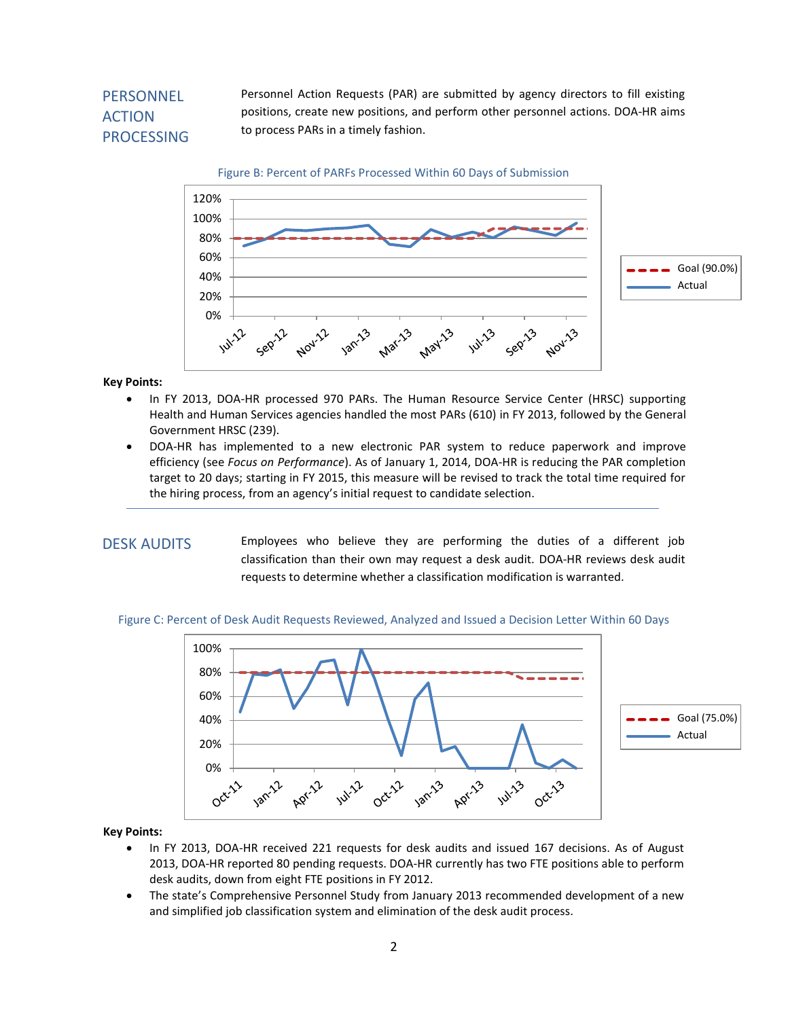# **PERSONNEL** ACTION PROCESSING

Personnel Action Requests (PAR) are submitted by agency directors to fill existing positions, create new positions, and perform other personnel actions. DOA-HR aims to process PARs in a timely fashion.





#### **Key Points:**

- In FY 2013, DOA-HR processed 970 PARs. The Human Resource Service Center (HRSC) supporting Health and Human Services agencies handled the most PARs (610) in FY 2013, followed by the General Government HRSC (239).
- DOA-HR has implemented to a new electronic PAR system to reduce paperwork and improve efficiency (see *Focus on Performance*). As of January 1, 2014, DOA-HR is reducing the PAR completion target to 20 days; starting in FY 2015, this measure will be revised to track the total time required for the hiring process, from an agency's initial request to candidate selection.

### DESK AUDITS

requests to determine whether a classification modification is warranted. Employees who believe they are performing the duties of a different job classification than their own may request a desk audit. DOA-HR reviews desk audit

#### Figure C: Percent of Desk Audit Requests Reviewed, Analyzed and Issued a Decision Letter Within 60 Days



#### **Key Points:**

- In FY 2013, DOA-HR received 221 requests for desk audits and issued 167 decisions. As of August 2013, DOA-HR reported 80 pending requests. DOA-HR currently has two FTE positions able to perform desk audits, down from eight FTE positions in FY 2012.
- The state's Comprehensive Personnel Study from January 2013 recommended development of a new and simplified job classification system and elimination of the desk audit process.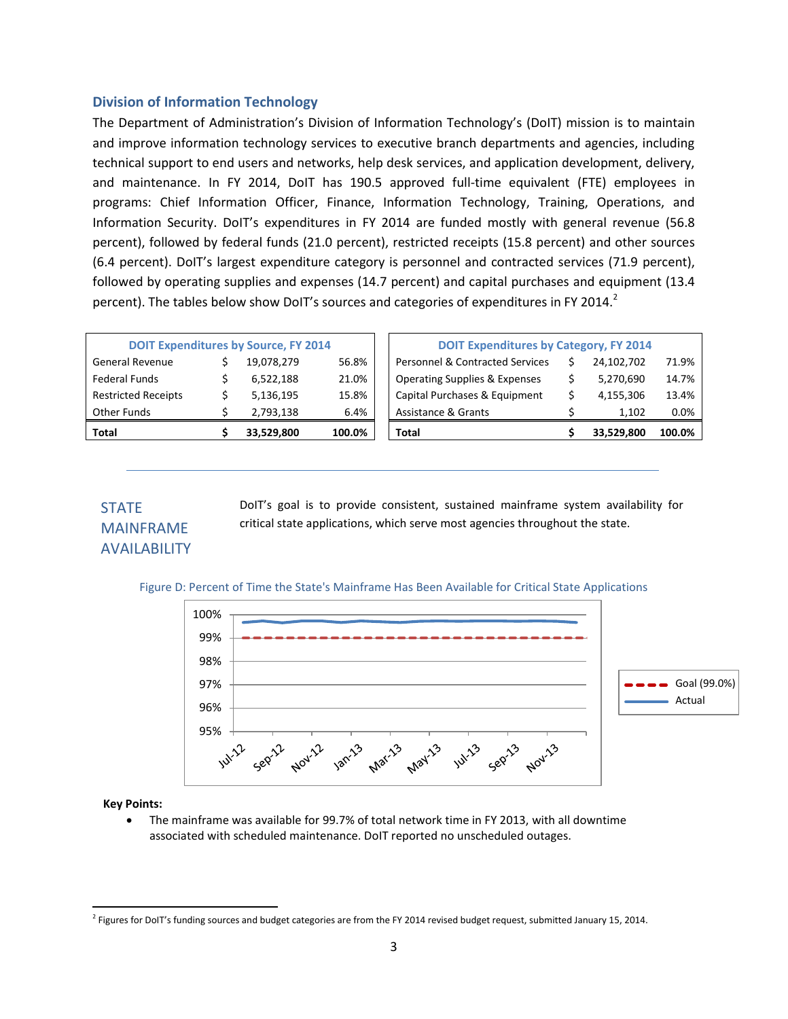### **Division of Information Technology**

The Department of Administration's Division of Information Technology's (DoIT) mission is to maintain and improve information technology services to executive branch departments and agencies, including technical support to end users and networks, help desk services, and application development, delivery, and maintenance. In FY 2014, DoIT has 190.5 approved full-time equivalent (FTE) employees in programs: Chief Information Officer, Finance, Information Technology, Training, Operations, and Information Security. DoIT's expenditures in FY 2014 are funded mostly with general revenue (56.8 percent), followed by federal funds (21.0 percent), restricted receipts (15.8 percent) and other sources (6.4 percent). DoIT's largest expenditure category is personnel and contracted services (71.9 percent), followed by operating supplies and expenses (14.7 percent) and capital purchases and equipment (13.4 percent). The tables below show DoIT's sources and categories of expenditures in FY 2014.<sup>2</sup>

| <b>Other Funds</b><br>6.4%<br>Assistance & Grants<br>2,793,138 |                                               | 1,102      | 0.0%  |
|----------------------------------------------------------------|-----------------------------------------------|------------|-------|
| <b>Restricted Receipts</b><br>15.8%<br>5,136,195               | Capital Purchases & Equipment                 | 4,155,306  | 13.4% |
| <b>Federal Funds</b><br>6,522,188<br>21.0%                     | <b>Operating Supplies &amp; Expenses</b>      | 5,270,690  | 14.7% |
| <b>General Revenue</b><br>56.8%<br>19.078.279                  | <b>Personnel &amp; Contracted Services</b>    | 24,102,702 | 71.9% |
| <b>DOIT Expenditures by Source, FY 2014</b>                    | <b>DOIT Expenditures by Category, FY 2014</b> |            |       |

| <b>DOIT Expenditures by Category, FY 2014</b> |    |            |        |  |  |
|-----------------------------------------------|----|------------|--------|--|--|
| <b>Personnel &amp; Contracted Services</b>    |    | 24,102,702 | 71.9%  |  |  |
| <b>Operating Supplies &amp; Expenses</b>      | Ś. | 5,270,690  | 14.7%  |  |  |
| Capital Purchases & Equipment                 | ς  | 4,155,306  | 13.4%  |  |  |
| Assistance & Grants                           | ς  | 1,102      | 0.0%   |  |  |
| Total                                         |    | 33,529,800 | 100.0% |  |  |

## STATE MAINFRAME AVAILABILITY

DoIT's goal is to provide consistent, sustained mainframe system availability for critical state applications, which serve most agencies throughout the state.

### Figure D: Percent of Time the State's Mainframe Has Been Available for Critical State Applications



### **Key Points:**

l

 The mainframe was available for 99.7% of total network time in FY 2013, with all downtime associated with scheduled maintenance. DoIT reported no unscheduled outages.

<sup>&</sup>lt;sup>2</sup> Figures for DoIT's funding sources and budget categories are from the FY 2014 revised budget request, submitted January 15, 2014.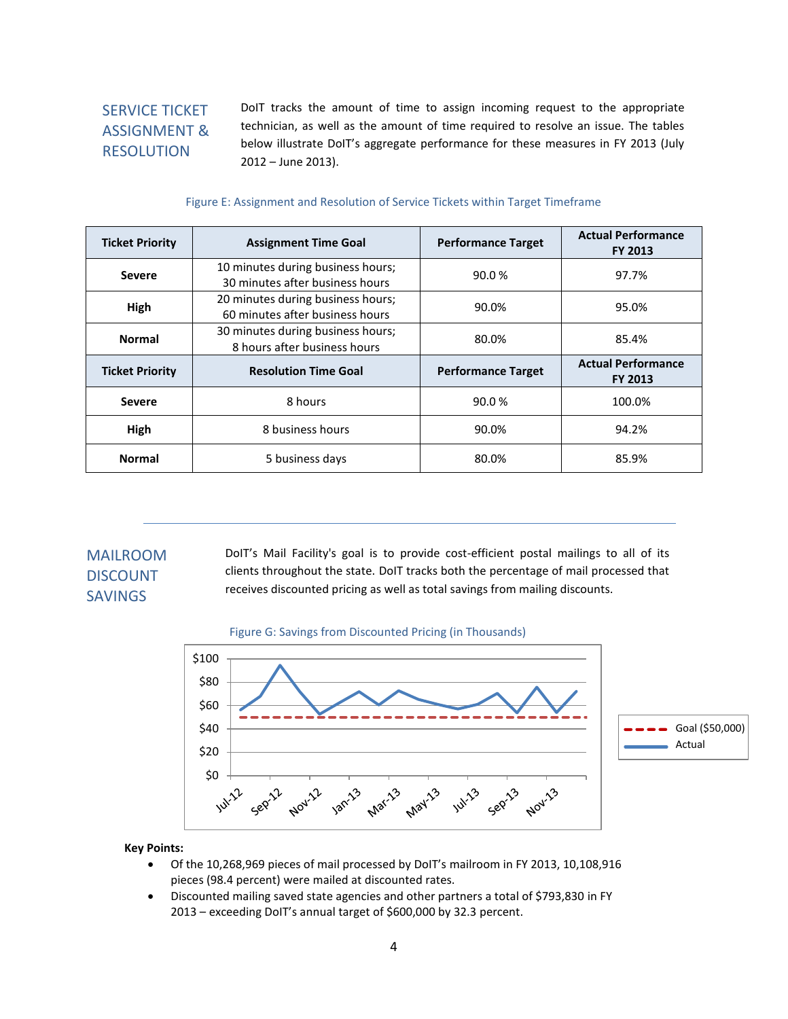# SERVICE TICKET ASSIGNMENT & RESOLUTION

DoIT tracks the amount of time to assign incoming request to the appropriate technician, as well as the amount of time required to resolve an issue. The tables below illustrate DoIT's aggregate performance for these measures in FY 2013 (July 2012 – June 2013).

#### Figure E: Assignment and Resolution of Service Tickets within Target Timeframe

| <b>Ticket Priority</b> | <b>Assignment Time Goal</b>                                          | <b>Performance Target</b> | <b>Actual Performance</b><br><b>FY 2013</b> |  |
|------------------------|----------------------------------------------------------------------|---------------------------|---------------------------------------------|--|
| <b>Severe</b>          | 10 minutes during business hours;<br>30 minutes after business hours | 90.0%                     | 97.7%                                       |  |
| High                   | 20 minutes during business hours;<br>60 minutes after business hours | 90.0%                     | 95.0%                                       |  |
| <b>Normal</b>          | 30 minutes during business hours;<br>8 hours after business hours    | 80.0%                     | 85.4%                                       |  |
| <b>Ticket Priority</b> | <b>Resolution Time Goal</b>                                          | <b>Performance Target</b> | <b>Actual Performance</b><br><b>FY 2013</b> |  |
| <b>Severe</b>          | 8 hours                                                              | 90.0%                     | 100.0%                                      |  |
| High                   | 8 business hours                                                     |                           | 94.2%                                       |  |
| <b>Normal</b>          | 5 business days                                                      |                           | 85.9%                                       |  |

## MAILROOM DISCOUNT SAVINGS

DoIT's Mail Facility's goal is to provide cost-efficient postal mailings to all of its clients throughout the state. DoIT tracks both the percentage of mail processed that receives discounted pricing as well as total savings from mailing discounts.





### **Key Points:**

- Of the 10,268,969 pieces of mail processed by DoIT's mailroom in FY 2013, 10,108,916 pieces (98.4 percent) were mailed at discounted rates.
- Discounted mailing saved state agencies and other partners a total of \$793,830 in FY 2013 – exceeding DoIT's annual target of \$600,000 by 32.3 percent.